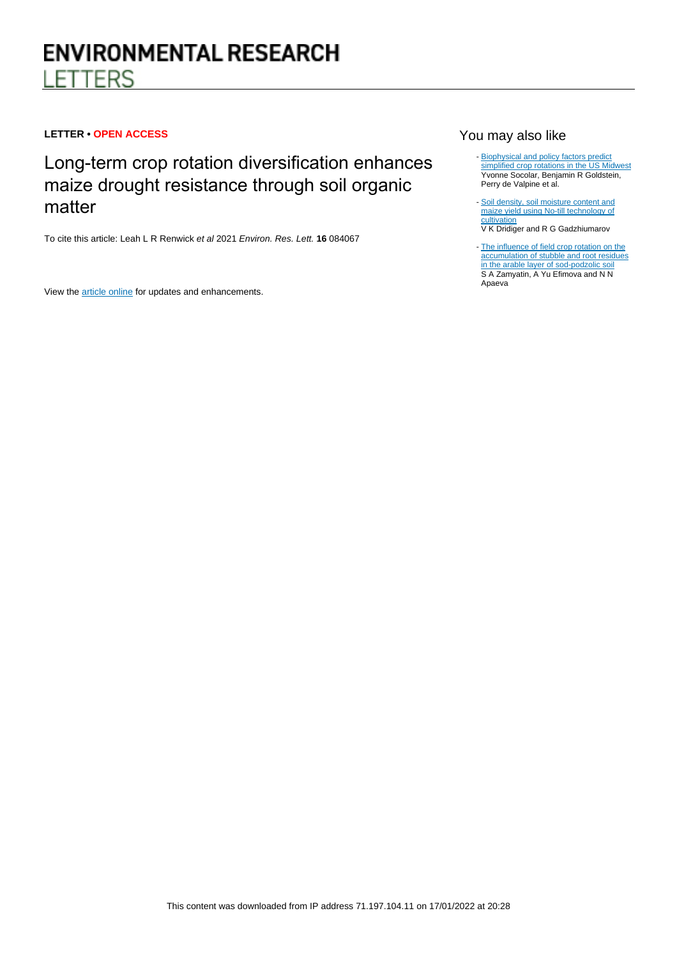# **LETTER • OPEN ACCESS**

Long-term crop rotation diversification enhances maize drought resistance through soil organic matter

To cite this article: Leah L R Renwick et al 2021 Environ. Res. Lett. **16** 084067

View the [article online](https://doi.org/10.1088/1748-9326/ac1468) for updates and enhancements.

# You may also like

- [Biophysical and policy factors predict](/article/10.1088/1748-9326/abf9ca) [simplified crop rotations in the US Midwest](/article/10.1088/1748-9326/abf9ca) Yvonne Socolar, Benjamin R Goldstein, Perry de Valpine et al.
- [Soil density, soil moisture content and](/article/10.1088/1755-1315/843/1/012023) [maize yield using No-till technology of](/article/10.1088/1755-1315/843/1/012023) **[cultivation](/article/10.1088/1755-1315/843/1/012023)** V K Dridiger and R G Gadzhiumarov
- [The influence of field crop rotation on the](/article/10.1088/1755-1315/421/2/022017) [accumulation of stubble and root residues](/article/10.1088/1755-1315/421/2/022017) [in the arable layer of sod-podzolic soil](/article/10.1088/1755-1315/421/2/022017) S A Zamyatin, A Yu Efimova and N N Apaeva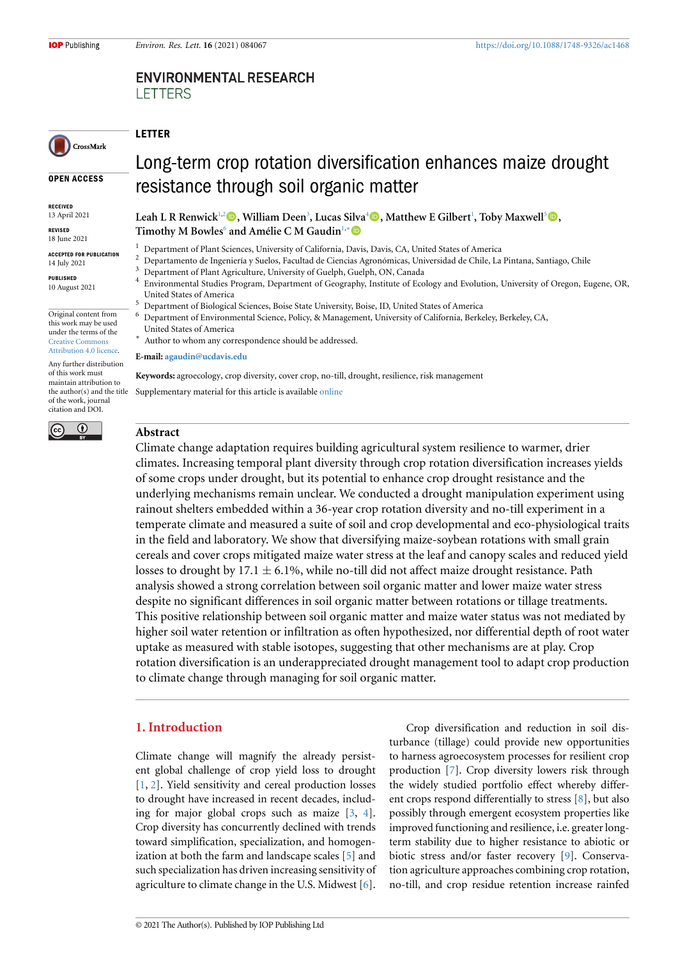# **ENVIRONMENTAL RESEARCH LETTERS**

# CrossMark

**OPEN ACCESS**

**RECEIVED** 13 April 2021

**REVISED** 18 June 2021

**ACCEPTED FOR PUBLICATION** 14 July 2021

**PUBLISHED** 10 August 2021

Original content from this work may be used under the terms of the [Creative Commons](https://creativecommons.org/licenses/by/4.0/) [Attribution 4.0 licence](https://creativecommons.org/licenses/by/4.0/).

Any further distribution of this work must maintain attribution to the author(s) and the title of the work, journal citation and DOI.



# Long-term crop rotation diversification enhances maize drought resistance through soil organic matter

**Leah L R Renwick**[1](#page-1-0)[,2](#page-1-1)**, William Deen**[3](#page-1-2) **, Lucas Silva**[4](#page-1-3)**, Matthew E Gilbert**[1](#page-1-0) **, Toby Maxwell**[5](#page-1-4)**,** Timothy M Bowles<sup>[6](#page-1-5)</sup> and Amélie C M Gaudin<sup>[1,](#page-1-0)</sup>\* <sup>●</sup>

- <sup>1</sup> Department of Plant Sciences, University of California, Davis, Davis, CA, United States of America
- <span id="page-1-0"></span><sup>2</sup> Departamento de Ingeniería y Suelos, Facultad de Ciencias Agronómicas, Universidad de Chile, La Pintana, Santiago, Chile $\frac{3}{2}$  Department of Plant Agriculture, University of Carlyh, Carlyh, Chile, Carlyh, Chile, La
- <span id="page-1-1"></span><sup>3</sup> Department of Plant Agriculture, University of Guelph, Guelph, ON, Canada
- <span id="page-1-3"></span><span id="page-1-2"></span>4 Environmental Studies Program, Department of Geography, Institute of Ecology and Evolution, University of Oregon, Eugene, OR, United States of America
- <sup>5</sup> Department of Biological Sciences, Boise State University, Boise, ID, United States of America
- <span id="page-1-5"></span><span id="page-1-4"></span><sup>6</sup> Department of Environmental Science, Policy, & Management, University of California, Berkeley, Berkeley, CA, United States of America
- <span id="page-1-6"></span>*∗* Author to whom any correspondence should be addressed.

**E-mail: [agaudin@ucdavis.edu](mailto:agaudin@ucdavis.edu)**

**Keywords:** agroecology, crop diversity, cover crop, no-till, drought, resilience, risk management Supplementary material for this article is available [online](http://doi.org/10.1088/1748-9326/ac1468)

# **Abstract**

**LETTER**

Climate change adaptation requires building agricultural system resilience to warmer, drier climates. Increasing temporal plant diversity through crop rotation diversification increases yields of some crops under drought, but its potential to enhance crop drought resistance and the underlying mechanisms remain unclear. We conducted a drought manipulation experiment using rainout shelters embedded within a 36-year crop rotation diversity and no-till experiment in a temperate climate and measured a suite of soil and crop developmental and eco-physiological traits in the field and laboratory. We show that diversifying maize-soybean rotations with small grain cereals and cover crops mitigated maize water stress at the leaf and canopy scales and reduced yield losses to drought by  $17.1 \pm 6.1\%$ , while no-till did not affect maize drought resistance. Path analysis showed a strong correlation between soil organic matter and lower maize water stress despite no significant differences in soil organic matter between rotations or tillage treatments. This positive relationship between soil organic matter and maize water status was not mediated by higher soil water retention or infiltration as often hypothesized, nor differential depth of root water uptake as measured with stable isotopes, suggesting that other mechanisms are at play. Crop rotation diversification is an underappreciated drought management tool to adapt crop production to climate change through managing for soil organic matter.

# **1. Introduction**

Climate change will magnify the already persistent global challenge of crop yield loss to drought [[1,](#page-10-0) [2](#page-10-1)]. Yield sensitivity and cereal production losses to drought have increased in recent decades, including for major global crops such as maize[[3,](#page-10-2) [4\]](#page-10-3). Crop diversity has concurrently declined with trends toward simplification, specialization, and homogenization at both the farm and landscape scales[[5\]](#page-10-4) and such specialization has driven increasing sensitivity of agriculture to climate change in the U.S. Midwest [\[6\]](#page-10-5).

Crop diversification and reduction in soil disturbance (tillage) could provide new opportunities to harness agroecosystem processes for resilient crop production[[7\]](#page-10-6). Crop diversity lowers risk through the widely studied portfolio effect whereby different crops respond differentially to stress[[8\]](#page-10-7), but also possibly through emergent ecosystem properties like improved functioning and resilience, i.e. greater longterm stability due to higher resistance to abiotic or biotic stress and/or faster recovery[[9\]](#page-10-8). Conservation agriculture approaches combining crop rotation, no-till, and crop residue retention increase rainfed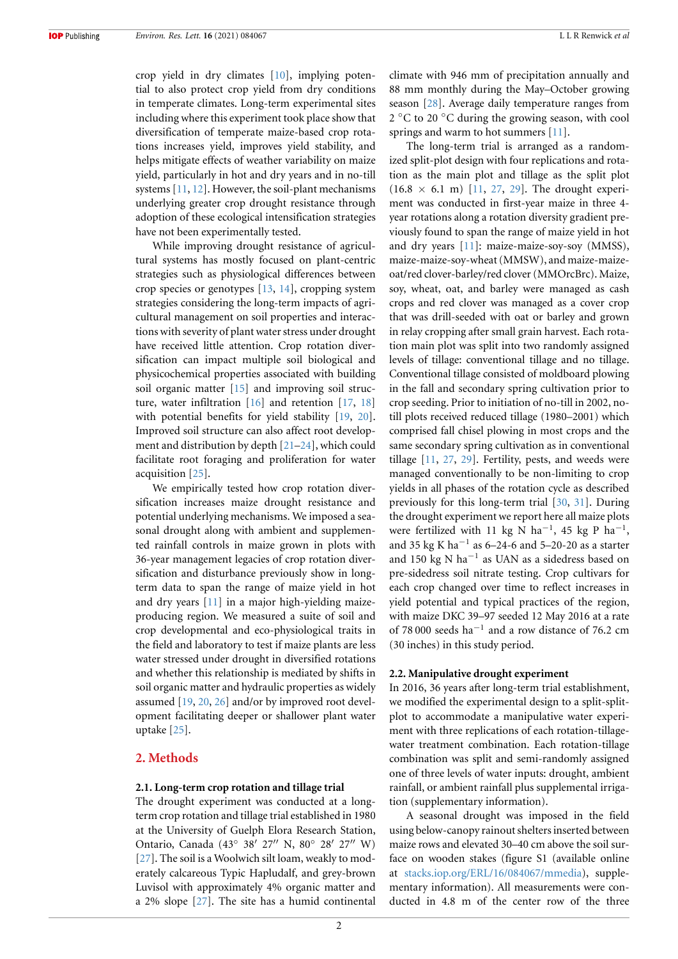crop yield in dry climates[[10\]](#page-10-9), implying potential to also protect crop yield from dry conditions in temperate climates. Long-term experimental sites including where this experiment took place show that diversification of temperate maize-based crop rotations increases yield, improves yield stability, and helps mitigate effects of weather variability on maize yield, particularly in hot and dry years and in no-till systems [\[11,](#page-10-10) [12](#page-10-11)]. However, the soil-plant mechanisms underlying greater crop drought resistance through adoption of these ecological intensification strategies have not been experimentally tested.

While improving drought resistance of agricultural systems has mostly focused on plant-centric strategies such as physiological differences between crop species or genotypes[[13,](#page-10-12) [14\]](#page-10-13), cropping system strategies considering the long-term impacts of agricultural management on soil properties and interactions with severity of plant water stress under drought have received little attention. Crop rotation diversification can impact multiple soil biological and physicochemical properties associated with building soil organic matter [\[15](#page-10-14)] and improving soil structure, water infiltration [\[16](#page-10-15)] and retention[[17](#page-10-16), [18](#page-10-17)] with potential benefits for yield stability[[19](#page-10-18), [20\]](#page-10-19). Improved soil structure can also affect root development and distribution by depth [\[21–](#page-10-20)[24](#page-10-21)], which could facilitate root foraging and proliferation for water acquisition [\[25\]](#page-10-22).

We empirically tested how crop rotation diversification increases maize drought resistance and potential underlying mechanisms. We imposed a seasonal drought along with ambient and supplemented rainfall controls in maize grown in plots with 36-year management legacies of crop rotation diversification and disturbance previously show in longterm data to span the range of maize yield in hot and dry years [\[11\]](#page-10-10) in a major high-yielding maizeproducing region. We measured a suite of soil and crop developmental and eco-physiological traits in the field and laboratory to test if maize plants are less water stressed under drought in diversified rotations and whether this relationship is mediated by shifts in soil organic matter and hydraulic properties as widely assumed[[19](#page-10-18), [20,](#page-10-19) [26\]](#page-10-23) and/or by improved root development facilitating deeper or shallower plant water uptake [\[25\]](#page-10-22).

# <span id="page-2-0"></span>**2. Methods**

#### **2.1. Long-term crop rotation and tillage trial**

The drought experiment was conducted at a longterm crop rotation and tillage trial established in 1980 at the University of Guelph Elora Research Station, Ontario, Canada (43*◦* 38*′* 27*′′* N, 80*◦* 28*′* 27*′′* W) [[27](#page-10-24)]. The soil is a Woolwich silt loam, weakly to moderately calcareous Typic Hapludalf, and grey-brown Luvisol with approximately 4% organic matter and a 2% slope [\[27](#page-10-24)]. The site has a humid continental climate with 946 mm of precipitation annually and 88 mm monthly during the May–October growing season [\[28\]](#page-10-25). Average daily temperature ranges from 2 *◦*C to 20 *◦*C during the growing season, with cool springs and warm to hot summers[[11\]](#page-10-10).

The long-term trial is arranged as a randomized split-plot design with four replications and rotation as the main plot and tillage as the split plot  $(16.8 \times 6.1 \text{ m})$  [\[11,](#page-10-10) [27,](#page-10-24) [29](#page-10-26)]. The drought experiment was conducted in first-year maize in three 4 year rotations along a rotation diversity gradient previously found to span the range of maize yield in hot and dry years [\[11\]](#page-10-10): maize-maize-soy-soy (MMSS), maize-maize-soy-wheat (MMSW), and maize-maizeoat/red clover-barley/red clover (MMOrcBrc). Maize, soy, wheat, oat, and barley were managed as cash crops and red clover was managed as a cover crop that was drill-seeded with oat or barley and grown in relay cropping after small grain harvest. Each rotation main plot was split into two randomly assigned levels of tillage: conventional tillage and no tillage. Conventional tillage consisted of moldboard plowing in the fall and secondary spring cultivation prior to crop seeding. Prior to initiation of no-till in 2002, notill plots received reduced tillage (1980–2001) which comprised fall chisel plowing in most crops and the same secondary spring cultivation as in conventional tillage [\[11,](#page-10-10) [27,](#page-10-24) [29](#page-10-26)]. Fertility, pests, and weeds were managed conventionally to be non-limiting to crop yields in all phases of the rotation cycle as described previously for this long-term trial[[30](#page-10-27), [31\]](#page-11-0). During the drought experiment we report here all maize plots were fertilized with 11 kg N ha*−*<sup>1</sup> , 45 kg P ha*−*<sup>1</sup> , and 35 kg K ha*−*<sup>1</sup> as 6–24-6 and 5–20-20 as a starter and 150 kg N ha*−*<sup>1</sup> as UAN as a sidedress based on pre-sidedress soil nitrate testing. Crop cultivars for each crop changed over time to reflect increases in yield potential and typical practices of the region, with maize DKC 39–97 seeded 12 May 2016 at a rate of 78 000 seeds ha*−*<sup>1</sup> and a row distance of 76.2 cm (30 inches) in this study period.

#### **2.2. Manipulative drought experiment**

In 2016, 36 years after long-term trial establishment, we modified the experimental design to a split-splitplot to accommodate a manipulative water experiment with three replications of each rotation-tillagewater treatment combination. Each rotation-tillage combination was split and semi-randomly assigned one of three levels of water inputs: drought, ambient rainfall, or ambient rainfall plus supplemental irrigation (supplementary information).

A seasonal drought was imposed in the field using below-canopy rainout shelters inserted between maize rows and elevated 30–40 cm above the soil surface on wooden stakes (figure S1 (available online at [stacks.iop.org/ERL/16/084067/mmedia](https://stacks.iop.org/ERL/16/084067/mmedia)), supplementary information). All measurements were conducted in 4.8 m of the center row of the three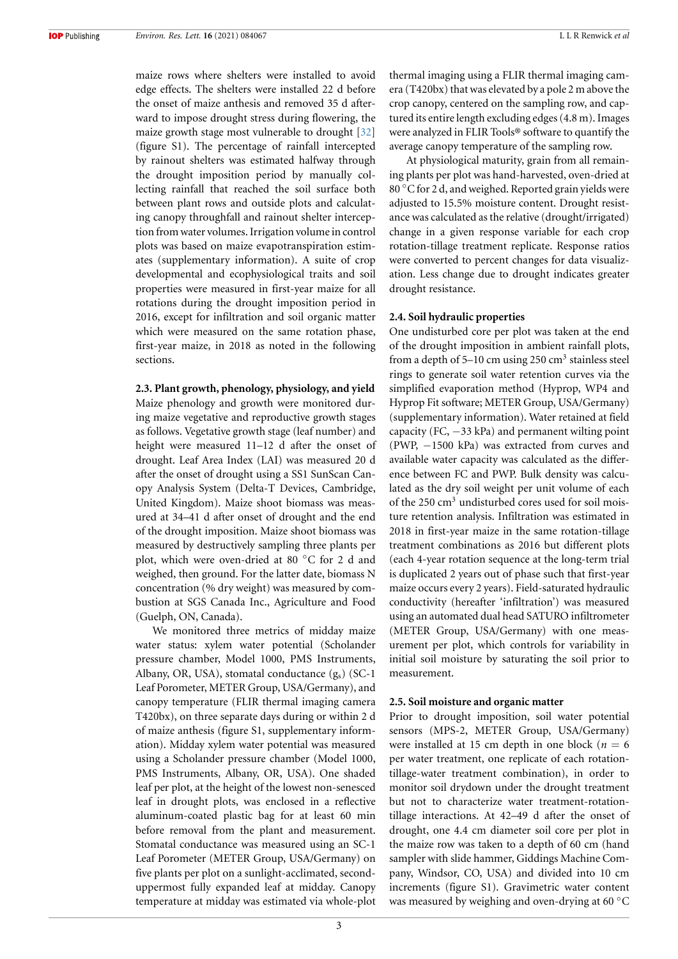maize rows where shelters were installed to avoid edge effects. The shelters were installed 22 d before the onset of maize anthesis and removed 35 d afterward to impose drought stress during flowering, the maize growth stage most vulnerable to drought[[32](#page-11-1)] (figure S1). The percentage of rainfall intercepted by rainout shelters was estimated halfway through the drought imposition period by manually collecting rainfall that reached the soil surface both between plant rows and outside plots and calculating canopy throughfall and rainout shelter interception from water volumes. Irrigation volume in control plots was based on maize evapotranspiration estimates (supplementary information). A suite of crop developmental and ecophysiological traits and soil properties were measured in first-year maize for all rotations during the drought imposition period in 2016, except for infiltration and soil organic matter which were measured on the same rotation phase, first-year maize, in 2018 as noted in the following sections.

# **2.3. Plant growth, phenology, physiology, and yield** Maize phenology and growth were monitored during maize vegetative and reproductive growth stages as follows. Vegetative growth stage (leaf number) and height were measured 11–12 d after the onset of drought. Leaf Area Index (LAI) was measured 20 d after the onset of drought using a SS1 SunScan Can-

opy Analysis System (Delta-T Devices, Cambridge, United Kingdom). Maize shoot biomass was measured at 34–41 d after onset of drought and the end of the drought imposition. Maize shoot biomass was measured by destructively sampling three plants per plot, which were oven-dried at 80 *◦*C for 2 d and weighed, then ground. For the latter date, biomass N concentration (% dry weight) was measured by combustion at SGS Canada Inc., Agriculture and Food (Guelph, ON, Canada).

We monitored three metrics of midday maize water status: xylem water potential (Scholander pressure chamber, Model 1000, PMS Instruments, Albany, OR, USA), stomatal conductance  $(g_s)$  (SC-1) Leaf Porometer, METER Group, USA/Germany), and canopy temperature (FLIR thermal imaging camera T420bx), on three separate days during or within 2 d of maize anthesis (figure S1, supplementary information). Midday xylem water potential was measured using a Scholander pressure chamber (Model 1000, PMS Instruments, Albany, OR, USA). One shaded leaf per plot, at the height of the lowest non-senesced leaf in drought plots, was enclosed in a reflective aluminum-coated plastic bag for at least 60 min before removal from the plant and measurement. Stomatal conductance was measured using an SC-1 Leaf Porometer (METER Group, USA/Germany) on five plants per plot on a sunlight-acclimated, seconduppermost fully expanded leaf at midday. Canopy temperature at midday was estimated via whole-plot thermal imaging using a FLIR thermal imaging camera (T420bx) that was elevated by a pole 2 m above the crop canopy, centered on the sampling row, and captured its entire length excluding edges (4.8 m). Images were analyzed in FLIR Tools® software to quantify the average canopy temperature of the sampling row.

At physiological maturity, grain from all remaining plants per plot was hand-harvested, oven-dried at 80 *◦*C for 2 d, and weighed. Reported grain yields were adjusted to 15.5% moisture content. Drought resistance was calculated as the relative (drought/irrigated) change in a given response variable for each crop rotation-tillage treatment replicate. Response ratios were converted to percent changes for data visualization. Less change due to drought indicates greater drought resistance.

### **2.4. Soil hydraulic properties**

One undisturbed core per plot was taken at the end of the drought imposition in ambient rainfall plots, from a depth of 5-10 cm using 250  $\text{cm}^3$  stainless steel rings to generate soil water retention curves via the simplified evaporation method (Hyprop, WP4 and Hyprop Fit software; METER Group, USA/Germany) (supplementary information). Water retained at field capacity (FC, *−*33 kPa) and permanent wilting point (PWP, *−*1500 kPa) was extracted from curves and available water capacity was calculated as the difference between FC and PWP. Bulk density was calculated as the dry soil weight per unit volume of each of the 250 cm<sup>3</sup> undisturbed cores used for soil moisture retention analysis. Infiltration was estimated in 2018 in first-year maize in the same rotation-tillage treatment combinations as 2016 but different plots (each 4-year rotation sequence at the long-term trial is duplicated 2 years out of phase such that first-year maize occurs every 2 years). Field-saturated hydraulic conductivity (hereafter 'infiltration') was measured using an automated dual head SATURO infiltrometer (METER Group, USA/Germany) with one measurement per plot, which controls for variability in initial soil moisture by saturating the soil prior to measurement.

#### **2.5. Soil moisture and organic matter**

Prior to drought imposition, soil water potential sensors (MPS-2, METER Group, USA/Germany) were installed at 15 cm depth in one block ( $n = 6$ ) per water treatment, one replicate of each rotationtillage-water treatment combination), in order to monitor soil drydown under the drought treatment but not to characterize water treatment-rotationtillage interactions. At 42–49 d after the onset of drought, one 4.4 cm diameter soil core per plot in the maize row was taken to a depth of 60 cm (hand sampler with slide hammer, Giddings Machine Company, Windsor, CO, USA) and divided into 10 cm increments (figure S1). Gravimetric water content was measured by weighing and oven-drying at 60 *◦*C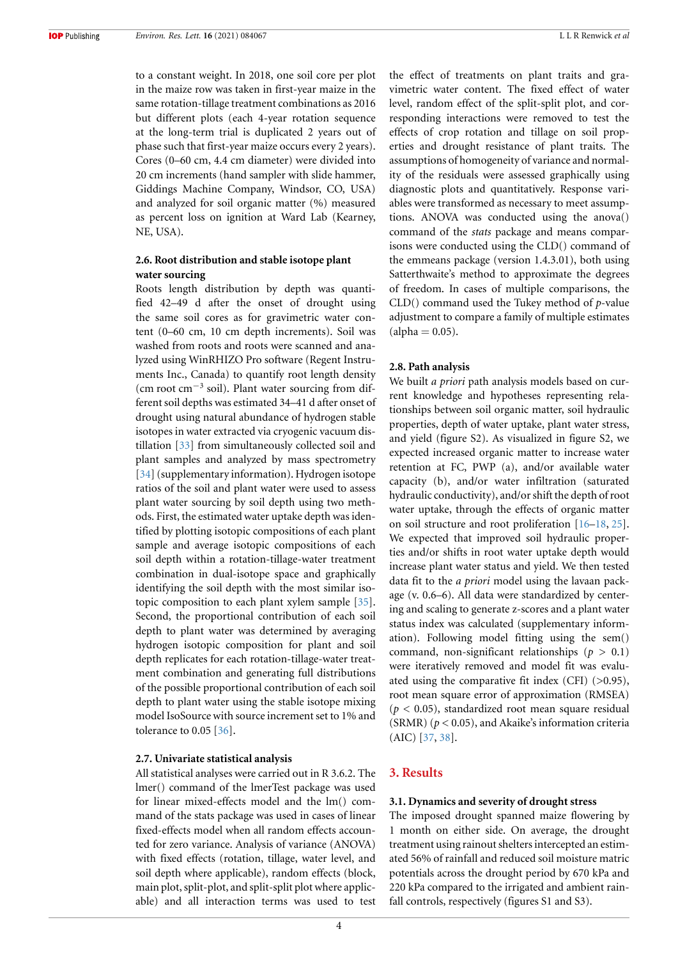to a constant weight. In 2018, one soil core per plot in the maize row was taken in first-year maize in the same rotation-tillage treatment combinations as 2016 but different plots (each 4-year rotation sequence at the long-term trial is duplicated 2 years out of phase such that first-year maize occurs every 2 years). Cores (0–60 cm, 4.4 cm diameter) were divided into 20 cm increments (hand sampler with slide hammer, Giddings Machine Company, Windsor, CO, USA) and analyzed for soil organic matter (%) measured as percent loss on ignition at Ward Lab (Kearney, NE, USA).

# **2.6. Root distribution and stable isotope plant water sourcing**

Roots length distribution by depth was quantified 42–49 d after the onset of drought using the same soil cores as for gravimetric water content (0–60 cm, 10 cm depth increments). Soil was washed from roots and roots were scanned and analyzed using WinRHIZO Pro software (Regent Instruments Inc., Canada) to quantify root length density (cm root cm*−*<sup>3</sup> soil). Plant water sourcing from different soil depths was estimated 34–41 d after onset of drought using natural abundance of hydrogen stable isotopes in water extracted via cryogenic vacuum distillation [\[33\]](#page-11-2) from simultaneously collected soil and plant samples and analyzed by mass spectrometry [[34](#page-11-3)] (supplementary information). Hydrogen isotope ratios of the soil and plant water were used to assess plant water sourcing by soil depth using two methods. First, the estimated water uptake depth was identified by plotting isotopic compositions of each plant sample and average isotopic compositions of each soil depth within a rotation-tillage-water treatment combination in dual-isotope space and graphically identifying the soil depth with the most similar isotopic composition to each plant xylem sample [\[35\]](#page-11-4). Second, the proportional contribution of each soil depth to plant water was determined by averaging hydrogen isotopic composition for plant and soil depth replicates for each rotation-tillage-water treatment combination and generating full distributions of the possible proportional contribution of each soil depth to plant water using the stable isotope mixing model IsoSource with source increment set to 1% and tolerance to 0.05 [\[36\]](#page-11-5).

### **2.7. Univariate statistical analysis**

All statistical analyses were carried out in R 3.6.2. The lmer() command of the lmerTest package was used for linear mixed-effects model and the lm() command of the stats package was used in cases of linear fixed-effects model when all random effects accounted for zero variance. Analysis of variance (ANOVA) with fixed effects (rotation, tillage, water level, and soil depth where applicable), random effects (block, main plot, split-plot, and split-split plot where applicable) and all interaction terms was used to test the effect of treatments on plant traits and gravimetric water content. The fixed effect of water level, random effect of the split-split plot, and corresponding interactions were removed to test the effects of crop rotation and tillage on soil properties and drought resistance of plant traits. The assumptions of homogeneity of variance and normality of the residuals were assessed graphically using diagnostic plots and quantitatively. Response variables were transformed as necessary to meet assumptions. ANOVA was conducted using the anova() command of the *stats* package and means comparisons were conducted using the CLD() command of the emmeans package (version 1.4.3.01), both using Satterthwaite's method to approximate the degrees of freedom. In cases of multiple comparisons, the CLD() command used the Tukey method of *p*-value adjustment to compare a family of multiple estimates  $(alpha = 0.05)$ .

#### **2.8. Path analysis**

We built *a priori* path analysis models based on current knowledge and hypotheses representing relationships between soil organic matter, soil hydraulic properties, depth of water uptake, plant water stress, and yield (figure S2). As visualized in figure S2, we expected increased organic matter to increase water retention at FC, PWP (a), and/or available water capacity (b), and/or water infiltration (saturated hydraulic conductivity), and/or shift the depth of root water uptake, through the effects of organic matter on soil structure and root proliferation [\[16–](#page-10-15)[18](#page-10-17), [25\]](#page-10-22). We expected that improved soil hydraulic properties and/or shifts in root water uptake depth would increase plant water status and yield. We then tested data fit to the *a priori* model using the lavaan package (v. 0.6–6). All data were standardized by centering and scaling to generate z-scores and a plant water status index was calculated (supplementary information). Following model fitting using the sem() command, non-significant relationships ( $p > 0.1$ ) were iteratively removed and model fit was evaluated using the comparative fit index (CFI) (>0.95), root mean square error of approximation (RMSEA)  $(p < 0.05)$ , standardized root mean square residual (SRMR) (*p* < 0.05), and Akaike's information criteria (AIC)[[37](#page-11-6), [38\]](#page-11-7).

### **3. Results**

#### **3.1. Dynamics and severity of drought stress**

The imposed drought spanned maize flowering by 1 month on either side. On average, the drought treatment using rainout shelters intercepted an estimated 56% of rainfall and reduced soil moisture matric potentials across the drought period by 670 kPa and 220 kPa compared to the irrigated and ambient rainfall controls, respectively (figures S1 and S3).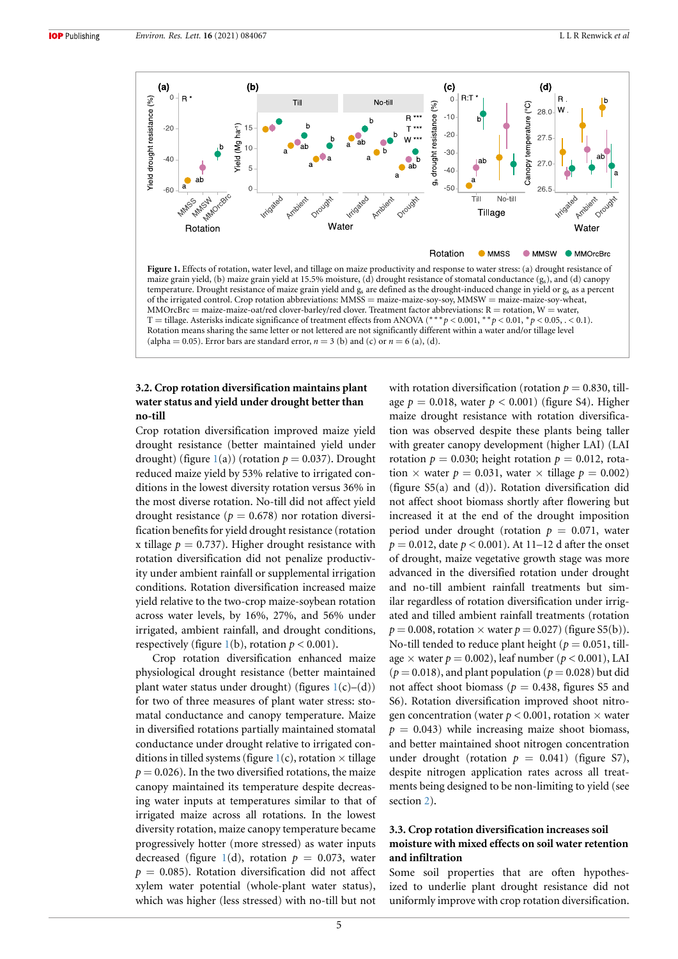<span id="page-5-0"></span>

temperature. Drought resistance of maize grain yield and g<sup>s</sup> are defined as the drought-induced change in yield or g<sup>s</sup> as a percent of the irrigated control. Crop rotation abbreviations: MMSS = maize-maize-soy-soy, MMSW = maize-maize-soy-wheat,  $MMOrcBrc = maize-anaize-oat/red clover-barley/red clover. Treatment factor abbreviations: R = rotation, W = water,$ T = tillage. Asterisks indicate significance of treatment effects from ANOVA (*∗∗∗p* < 0.001, *∗∗p* < 0.01, *∗p* < 0.05, . < 0.1). Rotation means sharing the same letter or not lettered are not significantly different within a water and/or tillage level (alpha = 0.05). Error bars are standard error,  $n = 3$  (b) and (c) or  $n = 6$  (a), (d).

# **3.2. Crop rotation diversification maintains plant water status and yield under drought better than no-till**

Crop rotation diversification improved maize yield drought resistance (better maintained yield under drought) (figure  $1(a)$  $1(a)$ ) (rotation  $p = 0.037$ ). Drought reduced maize yield by 53% relative to irrigated conditions in the lowest diversity rotation versus 36% in the most diverse rotation. No-till did not affect yield drought resistance ( $p = 0.678$ ) nor rotation diversification benefits for yield drought resistance (rotation x tillage  $p = 0.737$ ). Higher drought resistance with rotation diversification did not penalize productivity under ambient rainfall or supplemental irrigation conditions. Rotation diversification increased maize yield relative to the two-crop maize-soybean rotation across water levels, by 16%, 27%, and 56% under irrigated, ambient rainfall, and drought conditions, respectively (figure [1\(](#page-5-0)b), rotation  $p < 0.001$ ).

Crop rotation diversification enhanced maize physiological drought resistance (better maintained plant water status under drought) (figures  $1(c)$  $1(c)$ –(d)) for two of three measures of plant water stress: stomatal conductance and canopy temperature. Maize in diversified rotations partially maintained stomatal conductance under drought relative to irrigated conditions in tilled systems (figure  $1(c)$  $1(c)$ , rotation  $\times$  tillage  $p = 0.026$ ). In the two diversified rotations, the maize canopy maintained its temperature despite decreasing water inputs at temperatures similar to that of irrigated maize across all rotations. In the lowest diversity rotation, maize canopy temperature became progressively hotter (more stressed) as water inputs decreased (figure [1](#page-5-0)(d), rotation  $p = 0.073$ , water  $p = 0.085$ ). Rotation diversification did not affect xylem water potential (whole-plant water status), which was higher (less stressed) with no-till but not

with rotation diversification (rotation  $p = 0.830$ , tillage  $p = 0.018$ , water  $p < 0.001$ ) (figure S4). Higher maize drought resistance with rotation diversification was observed despite these plants being taller with greater canopy development (higher LAI) (LAI rotation  $p = 0.030$ ; height rotation  $p = 0.012$ , rotation  $\times$  water  $p = 0.031$ , water  $\times$  tillage  $p = 0.002$ ) (figure S5(a) and (d)). Rotation diversification did not affect shoot biomass shortly after flowering but increased it at the end of the drought imposition period under drought (rotation  $p = 0.071$ , water *p* = 0.012, date *p* < 0.001). At 11–12 d after the onset of drought, maize vegetative growth stage was more advanced in the diversified rotation under drought and no-till ambient rainfall treatments but similar regardless of rotation diversification under irrigated and tilled ambient rainfall treatments (rotation  $p = 0.008$ , rotation  $\times$  water  $p = 0.027$ ) (figure S5(b)). No-till tended to reduce plant height ( $p = 0.051$ , tillage  $\times$  water  $p = 0.002$ ), leaf number ( $p < 0.001$ ), LAI  $(p = 0.018)$ , and plant population  $(p = 0.028)$  but did not affect shoot biomass ( $p = 0.438$ , figures S5 and S6). Rotation diversification improved shoot nitrogen concentration (water  $p < 0.001$ , rotation  $\times$  water  $p = 0.043$ ) while increasing maize shoot biomass, and better maintained shoot nitrogen concentration under drought (rotation  $p = 0.041$ ) (figure S7), despite nitrogen application rates across all treatments being designed to be non-limiting to yield (see section [2](#page-2-0)).

# **3.3. Crop rotation diversification increases soil moisture with mixed effects on soil water retention and infiltration**

Some soil properties that are often hypothesized to underlie plant drought resistance did not uniformly improve with crop rotation diversification.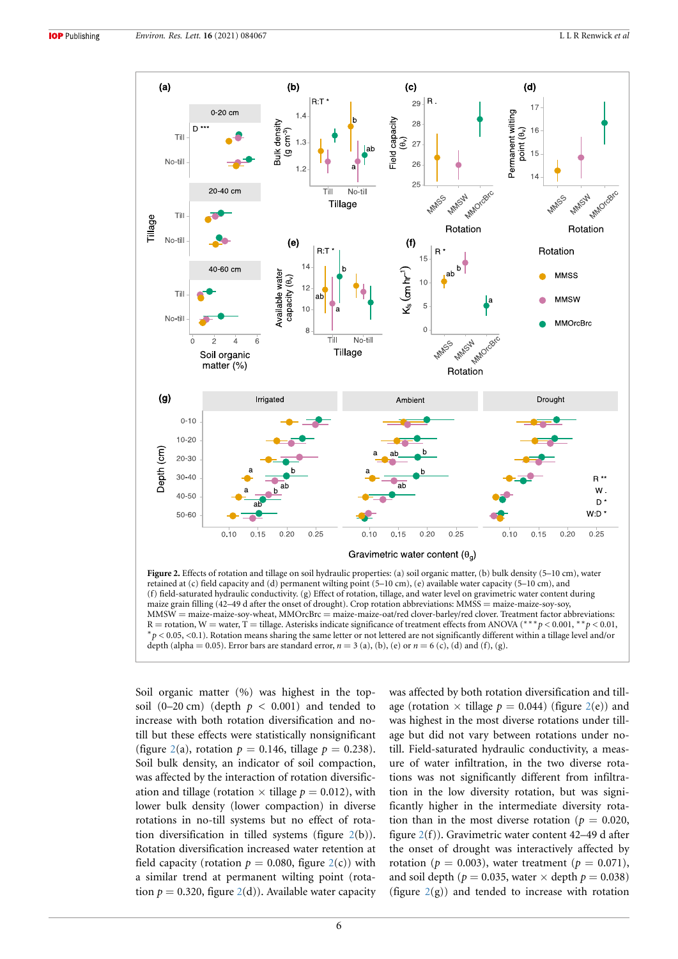<span id="page-6-0"></span>

retained at (c) field capacity and (d) permanent wilting point (5–10 cm), (e) available water capacity (5–10 cm), and (f) field-saturated hydraulic conductivity. (g) Effect of rotation, tillage, and water level on gravimetric water content during maize grain filling (42–49 d after the onset of drought). Crop rotation abbreviations: MMSS = maize-maize-soy-soy, MMSW = maize-maize-soy-wheat, MMOrcBrc = maize-maize-oat/red clover-barley/red clover. Treatment factor abbreviations:<br>R = rotation, W = water, T = tillage. Asterisks indicate significance of treatment effects from ANOVA R = rotation, W = water, T = tillage. Asterisks indicate significance of treatment effects from ANOVA (<sup>∗</sup><sup>\*</sup> *∗p* < 0.05, <0.1). Rotation means sharing the same letter or not lettered are not significantly different within a tillage level and/or depth (alpha = 0.05). Error bars are standard error,  $n = 3$  (a), (b), (e) or  $n = 6$  (c), (d) and (f), (g).

Soil organic matter (%) was highest in the topsoil  $(0-20 \text{ cm})$  (depth  $p < 0.001$ ) and tended to increase with both rotation diversification and notill but these effects were statistically nonsignificant (figure [2](#page-6-0)(a), rotation  $p = 0.146$ , tillage  $p = 0.238$ ). Soil bulk density, an indicator of soil compaction, was affected by the interaction of rotation diversification and tillage (rotation  $\times$  tillage  $p = 0.012$ ), with lower bulk density (lower compaction) in diverse rotations in no-till systems but no effect of rotation diversification in tilled systems (figure [2](#page-6-0)(b)). Rotation diversification increased water retention at field capacity (rotation  $p = 0.080$ , figure  $2(c)$  $2(c)$ ) with a similar trend at permanent wilting point (rotation  $p = 0.320$ , figure  $2(d)$  $2(d)$ ). Available water capacity was affected by both rotation diversification and tillage (rotation  $\times$  tillage  $p = 0.044$ ) (figure [2](#page-6-0)(e)) and was highest in the most diverse rotations under tillage but did not vary between rotations under notill. Field-saturated hydraulic conductivity, a measure of water infiltration, in the two diverse rotations was not significantly different from infiltration in the low diversity rotation, but was significantly higher in the intermediate diversity rotation than in the most diverse rotation ( $p = 0.020$ , figure [2](#page-6-0)(f)). Gravimetric water content 42–49 d after the onset of drought was interactively affected by rotation ( $p = 0.003$ ), water treatment ( $p = 0.071$ ), and soil depth ( $p = 0.035$ , water  $\times$  depth  $p = 0.038$ ) (figure  $2(g)$  $2(g)$ ) and tended to increase with rotation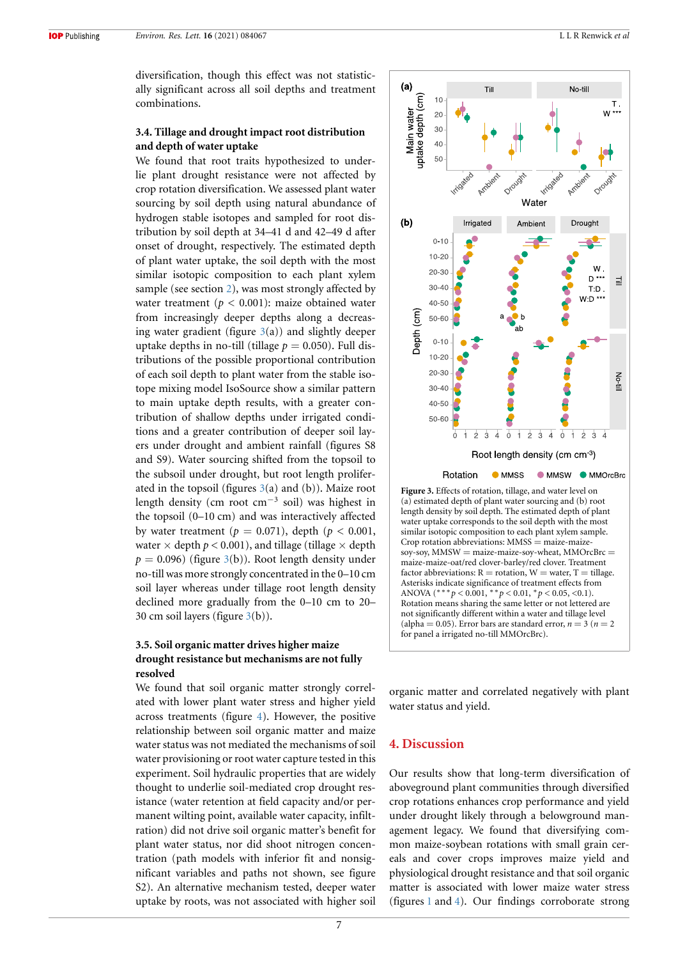diversification, though this effect was not statistically significant across all soil depths and treatment combinations.

# **3.4. Tillage and drought impact root distribution and depth of water uptake**

We found that root traits hypothesized to underlie plant drought resistance were not affected by crop rotation diversification. We assessed plant water sourcing by soil depth using natural abundance of hydrogen stable isotopes and sampled for root distribution by soil depth at 34–41 d and 42–49 d after onset of drought, respectively. The estimated depth of plant water uptake, the soil depth with the most similar isotopic composition to each plant xylem sample (see section [2](#page-2-0)), was most strongly affected by water treatment ( $p < 0.001$ ): maize obtained water from increasingly deeper depths along a decreasing water gradient (figure  $3(a)$  $3(a)$ ) and slightly deeper uptake depths in no-till (tillage  $p = 0.050$ ). Full distributions of the possible proportional contribution of each soil depth to plant water from the stable isotope mixing model IsoSource show a similar pattern to main uptake depth results, with a greater contribution of shallow depths under irrigated conditions and a greater contribution of deeper soil layers under drought and ambient rainfall (figures S8 and S9). Water sourcing shifted from the topsoil to the subsoil under drought, but root length proliferated in the topsoil (figures  $3(a)$  $3(a)$  and (b)). Maize root length density (cm root cm*−*<sup>3</sup> soil) was highest in the topsoil (0–10 cm) and was interactively affected by water treatment ( $p = 0.071$ ), depth ( $p < 0.001$ , water  $\times$  depth  $p < 0.001$ ), and tillage (tillage  $\times$  depth  $p = 0.096$ ) (figure [3](#page-7-0)(b)). Root length density under no-till was more strongly concentrated in the 0–10 cm soil layer whereas under tillage root length density declined more gradually from the 0–10 cm to 20– 30 cm soil layers (figure [3\(](#page-7-0)b)).

# **3.5. Soil organic matter drives higher maize drought resistance but mechanisms are not fully resolved**

We found that soil organic matter strongly correlated with lower plant water stress and higher yield across treatments (figure [4](#page-8-0)). However, the positive relationship between soil organic matter and maize water status was not mediated the mechanisms of soil water provisioning or root water capture tested in this experiment. Soil hydraulic properties that are widely thought to underlie soil-mediated crop drought resistance (water retention at field capacity and/or permanent wilting point, available water capacity, infiltration) did not drive soil organic matter's benefit for plant water status, nor did shoot nitrogen concentration (path models with inferior fit and nonsignificant variables and paths not shown, see figure S2). An alternative mechanism tested, deeper water uptake by roots, was not associated with higher soil

<span id="page-7-0"></span>



organic matter and correlated negatively with plant water status and yield.

# **4. Discussion**

Our results show that long-term diversification of aboveground plant communities through diversified crop rotations enhances crop performance and yield under drought likely through a belowground management legacy. We found that diversifying common maize-soybean rotations with small grain cereals and cover crops improves maize yield and physiological drought resistance and that soil organic matter is associated with lower maize water stress (figures [1](#page-5-0) and [4](#page-8-0)). Our findings corroborate strong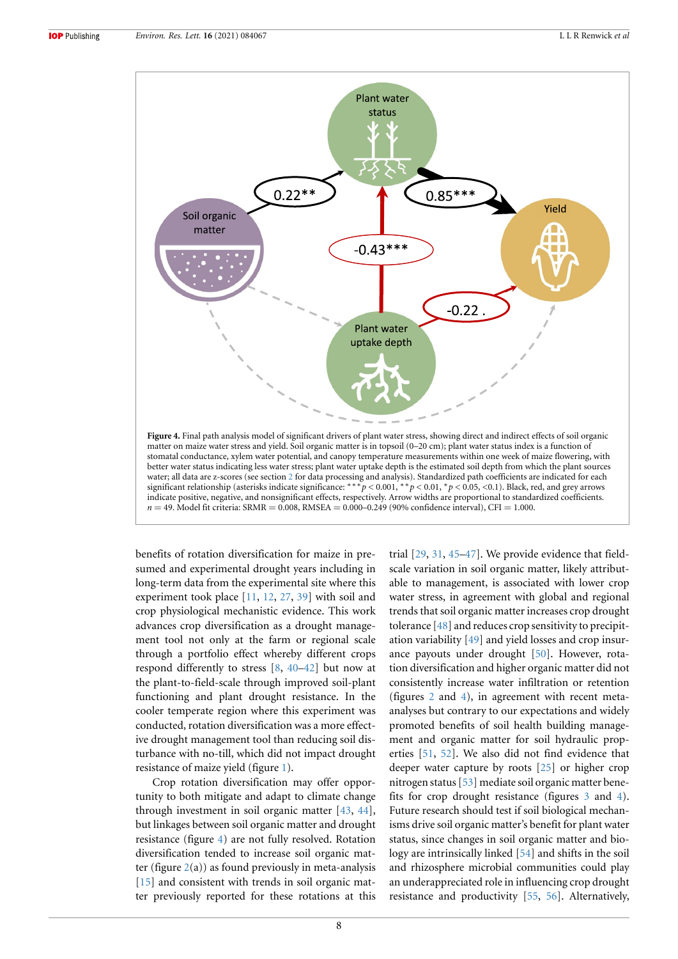<span id="page-8-0"></span>

better water status indicating less water stress; plant water uptake depth is the estimated soil depth from which the plant sources water; all data are z-scores (see section [2](#page-2-0) for data processing and analysis). Standardized path coefficients are indicated for each significant relationship (asterisks indicate significance: *∗∗∗p* < 0.001, *∗∗p* < 0.01, *∗p* < 0.05, <0.1). Black, red, and grey arrows indicate positive, negative, and nonsignificant effects, respectively. Arrow widths are proportional to standardized coefficients.  $n = 49$ . Model fit criteria: SRMR =  $0.008$ , RMSEA =  $0.000-0.249$  (90% confidence interval), CFI = 1.000.

benefits of rotation diversification for maize in presumed and experimental drought years including in long-term data from the experimental site where this experiment took place[[11,](#page-10-10) [12,](#page-10-11) [27](#page-10-24), [39](#page-11-8)] with soil and crop physiological mechanistic evidence. This work advances crop diversification as a drought management tool not only at the farm or regional scale through a portfolio effect whereby different crops respond differently to stress [\[8](#page-10-7), [40–](#page-11-9)[42\]](#page-11-10) but now at the plant-to-field-scale through improved soil-plant functioning and plant drought resistance. In the cooler temperate region where this experiment was conducted, rotation diversification was a more effective drought management tool than reducing soil disturbance with no-till, which did not impact drought resistance of maize yield (figure [1\)](#page-5-0).

Crop rotation diversification may offer opportunity to both mitigate and adapt to climate change through investment in soil organic matter[[43](#page-11-11), [44\]](#page-11-12), but linkages between soil organic matter and drought resistance (figure [4](#page-8-0)) are not fully resolved. Rotation diversification tended to increase soil organic matter (figure  $2(a)$  $2(a)$ ) as found previously in meta-analysis [[15](#page-10-14)] and consistent with trends in soil organic matter previously reported for these rotations at this trial[[29](#page-10-26), [31,](#page-11-0) [45–](#page-11-13)[47](#page-11-14)]. We provide evidence that fieldscale variation in soil organic matter, likely attributable to management, is associated with lower crop water stress, in agreement with global and regional trends that soil organic matter increases crop drought tolerance[[48](#page-11-15)] and reduces crop sensitivity to precipitation variability [\[49\]](#page-11-16) and yield losses and crop insurance payouts under drought [\[50\]](#page-11-17). However, rotation diversification and higher organic matter did not consistently increase water infiltration or retention (figures [2](#page-6-0) and [4\)](#page-8-0), in agreement with recent metaanalyses but contrary to our expectations and widely promoted benefits of soil health building management and organic matter for soil hydraulic properties [\[51,](#page-11-18) [52\]](#page-11-19). We also did not find evidence that deeper water capture by roots[[25](#page-10-22)] or higher crop nitrogen status [\[53\]](#page-11-20) mediate soil organic matter benefits for crop drought resistance (figures [3](#page-7-0) and [4\)](#page-8-0). Future research should test if soil biological mechanisms drive soil organic matter's benefit for plant water status, since changes in soil organic matter and biology are intrinsically linked[[54](#page-11-21)] and shifts in the soil and rhizosphere microbial communities could play an underappreciated role in influencing crop drought resistance and productivity[[55,](#page-11-22) [56](#page-11-23)]. Alternatively,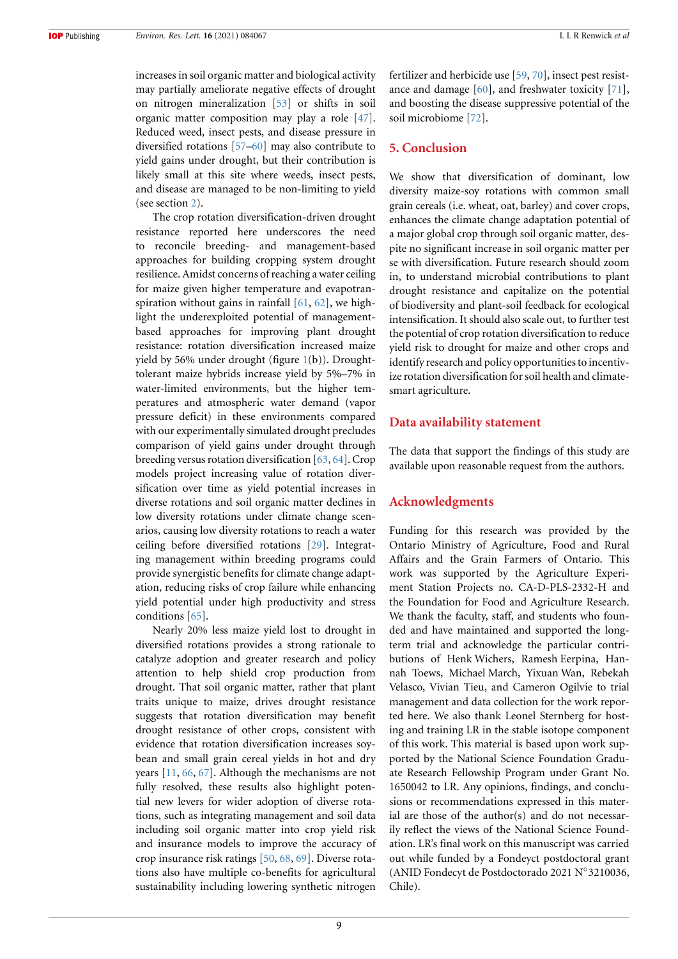increases in soil organic matter and biological activity may partially ameliorate negative effects of drought on nitrogen mineralization[[53](#page-11-20)] or shifts in soil organic matter composition may play a role [\[47\]](#page-11-14). Reduced weed, insect pests, and disease pressure in diversified rotations[[57](#page-11-24)[–60\]](#page-11-25) may also contribute to yield gains under drought, but their contribution is likely small at this site where weeds, insect pests, and disease are managed to be non-limiting to yield (see section [2](#page-2-0)).

The crop rotation diversification-driven drought resistance reported here underscores the need to reconcile breeding- and management-based approaches for building cropping system drought resilience. Amidst concerns of reaching a water ceiling for maize given higher temperature and evapotranspiration without gains in rainfall  $[61, 62]$  $[61, 62]$ , we highlight the underexploited potential of managementbased approaches for improving plant drought resistance: rotation diversification increased maize yield by 56% under drought (figure  $1(b)$  $1(b)$ ). Droughttolerant maize hybrids increase yield by 5%–7% in water-limited environments, but the higher temperatures and atmospheric water demand (vapor pressure deficit) in these environments compared with our experimentally simulated drought precludes comparison of yield gains under drought through breeding versus rotation diversification [\[63](#page-11-28), [64\]](#page-11-29). Crop models project increasing value of rotation diversification over time as yield potential increases in diverse rotations and soil organic matter declines in low diversity rotations under climate change scenarios, causing low diversity rotations to reach a water ceiling before diversified rotations [\[29\]](#page-10-26). Integrating management within breeding programs could provide synergistic benefits for climate change adaptation, reducing risks of crop failure while enhancing yield potential under high productivity and stress conditions[[65](#page-11-30)].

Nearly 20% less maize yield lost to drought in diversified rotations provides a strong rationale to catalyze adoption and greater research and policy attention to help shield crop production from drought. That soil organic matter, rather that plant traits unique to maize, drives drought resistance suggests that rotation diversification may benefit drought resistance of other crops, consistent with evidence that rotation diversification increases soybean and small grain cereal yields in hot and dry years[[11](#page-10-10), [66,](#page-11-31) [67\]](#page-11-32). Although the mechanisms are not fully resolved, these results also highlight potential new levers for wider adoption of diverse rotations, such as integrating management and soil data including soil organic matter into crop yield risk and insurance models to improve the accuracy of crop insurance risk ratings [\[50,](#page-11-17) [68](#page-11-33), [69\]](#page-11-34). Diverse rotations also have multiple co-benefits for agricultural sustainability including lowering synthetic nitrogen fertilizer and herbicide use [\[59,](#page-11-35) [70\]](#page-11-36), insect pest resistance and damage  $[60]$ , and freshwater toxicity  $[71]$ , and boosting the disease suppressive potential of the soil microbiome [\[72\]](#page-12-1).

# **5. Conclusion**

We show that diversification of dominant, low diversity maize-soy rotations with common small grain cereals (i.e. wheat, oat, barley) and cover crops, enhances the climate change adaptation potential of a major global crop through soil organic matter, despite no significant increase in soil organic matter per se with diversification. Future research should zoom in, to understand microbial contributions to plant drought resistance and capitalize on the potential of biodiversity and plant-soil feedback for ecological intensification. It should also scale out, to further test the potential of crop rotation diversification to reduce yield risk to drought for maize and other crops and identify research and policy opportunities to incentivize rotation diversification for soil health and climatesmart agriculture.

# **Data availability statement**

The data that support the findings of this study are available upon reasonable request from the authors.

#### **Acknowledgments**

Funding for this research was provided by the Ontario Ministry of Agriculture, Food and Rural Affairs and the Grain Farmers of Ontario. This work was supported by the Agriculture Experiment Station Projects no. CA-D-PLS-2332-H and the Foundation for Food and Agriculture Research. We thank the faculty, staff, and students who founded and have maintained and supported the longterm trial and acknowledge the particular contributions of Henk Wichers, Ramesh Eerpina, Hannah Toews, Michael March, Yixuan Wan, Rebekah Velasco, Vivian Tieu, and Cameron Ogilvie to trial management and data collection for the work reported here. We also thank Leonel Sternberg for hosting and training LR in the stable isotope component of this work. This material is based upon work supported by the National Science Foundation Graduate Research Fellowship Program under Grant No. 1650042 to LR. Any opinions, findings, and conclusions or recommendations expressed in this material are those of the author(s) and do not necessarily reflect the views of the National Science Foundation. LR's final work on this manuscript was carried out while funded by a Fondeyct postdoctoral grant (ANID Fondecyt de Postdoctorado 2021 N*◦* 3210036, Chile).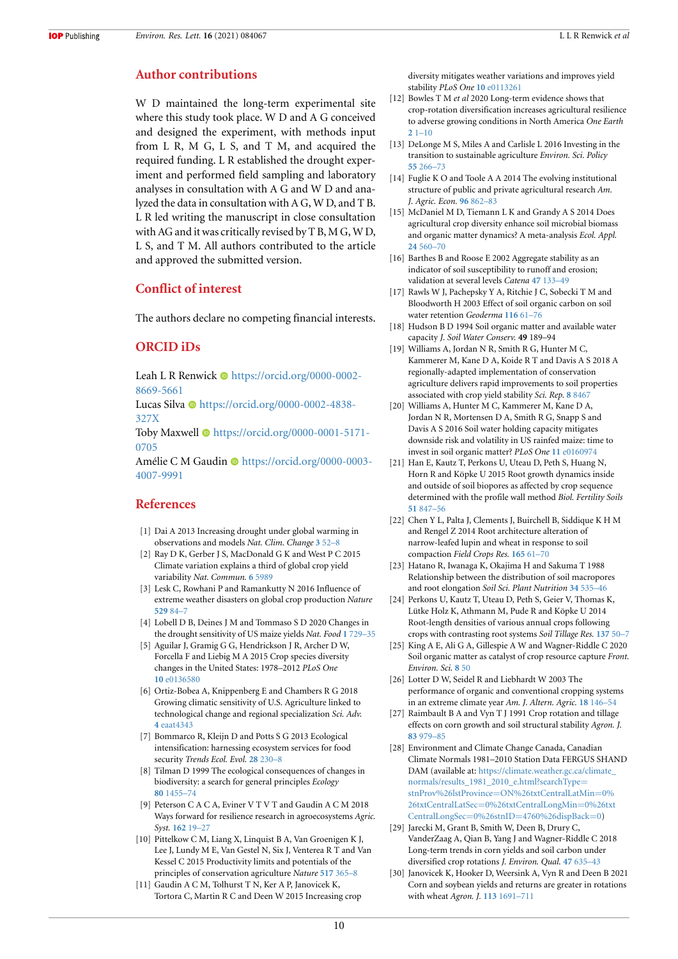# **Author contributions**

W D maintained the long-term experimental site where this study took place. W D and A G conceived and designed the experiment, with methods input from L R, M G, L S, and T M, and acquired the required funding. L R established the drought experiment and performed field sampling and laboratory analyses in consultation with A G and W D and analyzed the data in consultation with A G, W D, and T B. L R led writing the manuscript in close consultation with AG and it was critically revised by T B, M G, W D, L S, and T M. All authors contributed to the article and approved the submitted version.

# **Conflict of interest**

The authors declare no competing financial interests.

# **ORCID iDs**

Leah L R Renwick **I** [https://orcid.org/0000-0002-](https://orcid.org/0000-0002-8669-5661) [8669-5661](https://orcid.org/0000-0002-8669-5661)

Lucas Silva · [https://orcid.org/0000-0002-4838-](https://orcid.org/0000-0002-4838-327X) [327X](https://orcid.org/0000-0002-4838-327X)

Toby Maxwell  $\bullet$  [https://orcid.org/0000-0001-5171-](https://orcid.org/0000-0001-5171-0705) [0705](https://orcid.org/0000-0001-5171-0705)

Amélie C M Gaudin · [https://orcid.org/0000-0003-](https://orcid.org/0000-0003-4007-9991) [4007-9991](https://orcid.org/0000-0003-4007-9991)

# **References**

- <span id="page-10-0"></span>[1] Dai A 2013 Increasing drought under global warming in observations and models *Nat. Clim. Change* **[3](https://doi.org/10.1038/nclimate1633)** [52–8](https://doi.org/10.1038/nclimate1633)
- <span id="page-10-1"></span>[2] Ray D K, Gerber J S, MacDonald G K and West P C 2015 Climate variation explains a third of global crop yield variability *Nat. Commun.* **[6](https://doi.org/10.1038/ncomms6989)** [5989](https://doi.org/10.1038/ncomms6989)
- <span id="page-10-2"></span>[3] Lesk C, Rowhani P and Ramankutty N 2016 Influence of extreme weather disasters on global crop production *Nature* **[529](https://doi.org/10.1038/nature16467)** [84–7](https://doi.org/10.1038/nature16467)
- <span id="page-10-3"></span>[4] Lobell D B, Deines J M and Tommaso S D 2020 Changes in the drought sensitivity of US maize yields *Nat. Food* **[1](https://doi.org/10.1038/s43016-020-00165-w)** [729–35](https://doi.org/10.1038/s43016-020-00165-w)
- <span id="page-10-4"></span>[5] Aguilar J, Gramig G G, Hendrickson J R, Archer D W, Forcella F and Liebig M A 2015 Crop species diversity changes in the United States: 1978–2012 *PLoS One* **[10](https://doi.org/10.1371/journal.pone.0136580)** [e0136580](https://doi.org/10.1371/journal.pone.0136580)
- <span id="page-10-5"></span>[6] Ortiz-Bobea A, Knippenberg E and Chambers R G 2018 Growing climatic sensitivity of U.S. Agriculture linked to technological change and regional specialization *Sci. Adv.* **[4](https://doi.org/10.1126/sciadv.aat4343)** [eaat4343](https://doi.org/10.1126/sciadv.aat4343)
- <span id="page-10-6"></span>[7] Bommarco R, Kleijn D and Potts S G 2013 Ecological intensification: harnessing ecosystem services for food security *Trends Ecol. Evol.* **[28](https://doi.org/10.1016/j.tree.2012.10.012)** [230–8](https://doi.org/10.1016/j.tree.2012.10.012)
- <span id="page-10-7"></span>[8] Tilman D 1999 The ecological consequences of changes in biodiversity: a search for general principles *Ecology* **[80](https://doi.org/10.1890/0012-9658(1999)080[1455:TECOCI]2.0.CO;2)** [1455–74](https://doi.org/10.1890/0012-9658(1999)080[1455:TECOCI]2.0.CO;2)
- <span id="page-10-8"></span>[9] Peterson C A C A, Eviner V T V T and Gaudin A C M 2018 Ways forward for resilience research in agroecosystems *Agric. Syst.* **[162](https://doi.org/10.1016/j.agsy.2018.01.011)** [19–27](https://doi.org/10.1016/j.agsy.2018.01.011)
- <span id="page-10-9"></span>[10] Pittelkow C M, Liang X, Linquist B A, Van Groenigen K J, Lee J, Lundy M E, Van Gestel N, Six J, Venterea R T and Van Kessel C 2015 Productivity limits and potentials of the principles of conservation agriculture *Nature* **[517](https://doi.org/10.1038/nature13809)** [365–8](https://doi.org/10.1038/nature13809)
- <span id="page-10-10"></span>[11] Gaudin A C M, Tolhurst T N, Ker A P, Janovicek K, Tortora C, Martin R C and Deen W 2015 Increasing crop

diversity mitigates weather variations and improves yield stability *PLoS One* **[10](https://doi.org/10.1371/journal.pone.0113261)** [e0113261](https://doi.org/10.1371/journal.pone.0113261)

- <span id="page-10-11"></span>[12] Bowles T M *et al* 2020 Long-term evidence shows that crop-rotation diversification increases agricultural resilience to adverse growing conditions in North America *One Earth* **[2](https://doi.org/10.1016/j.oneear.2020.02.007)** [1–10](https://doi.org/10.1016/j.oneear.2020.02.007)
- <span id="page-10-12"></span>[13] DeLonge M S, Miles A and Carlisle L 2016 Investing in the transition to sustainable agriculture *Environ. Sci. Policy* **[55](https://doi.org/10.1016/j.envsci.2015.09.013)** [266–73](https://doi.org/10.1016/j.envsci.2015.09.013)
- <span id="page-10-13"></span>[14] Fuglie K O and Toole A A 2014 The evolving institutional structure of public and private agricultural research *Am. J. Agric. Econ.* **[96](https://doi.org/10.1093/ajae/aat107)** [862–83](https://doi.org/10.1093/ajae/aat107)
- <span id="page-10-14"></span>[15] McDaniel M D, Tiemann L K and Grandy A S 2014 Does agricultural crop diversity enhance soil microbial biomass and organic matter dynamics? A meta-analysis *Ecol. Appl.* **[24](https://doi.org/10.1890/13-0616.1)** [560–70](https://doi.org/10.1890/13-0616.1)
- <span id="page-10-15"></span>[16] Barthes B and Roose E 2002 Aggregate stability as an indicator of soil susceptibility to runoff and erosion; validation at several levels *Catena* **[47](https://doi.org/10.1016/S0341-8162(01)00180-1)** [133–49](https://doi.org/10.1016/S0341-8162(01)00180-1)
- <span id="page-10-16"></span>[17] Rawls W J, Pachepsky Y A, Ritchie J C, Sobecki T M and Bloodworth H 2003 Effect of soil organic carbon on soil water retention *Geoderma* **[116](https://doi.org/10.1016/S0016-7061(03)00094-6)** [61–76](https://doi.org/10.1016/S0016-7061(03)00094-6)
- <span id="page-10-17"></span>[18] Hudson B D 1994 Soil organic matter and available water capacity *J. Soil Water Conserv.* **49** 189–94
- <span id="page-10-18"></span>[19] Williams A, Jordan N R, Smith R G, Hunter M C, Kammerer M, Kane D A, Koide R T and Davis A S 2018 A regionally-adapted implementation of conservation agriculture delivers rapid improvements to soil properties associated with crop yield stability *Sci. Rep.* **[8](https://doi.org/10.1038/s41598-018-26896-2)** [8467](https://doi.org/10.1038/s41598-018-26896-2)
- <span id="page-10-19"></span>[20] Williams A, Hunter M C, Kammerer M, Kane D A, Jordan N R, Mortensen D A, Smith R G, Snapp S and Davis A S 2016 Soil water holding capacity mitigates downside risk and volatility in US rainfed maize: time to invest in soil organic matter? *PLoS One* **[11](https://doi.org/10.1371/journal.pone.0160974)** [e0160974](https://doi.org/10.1371/journal.pone.0160974)
- <span id="page-10-20"></span>[21] Han E, Kautz T, Perkons U, Uteau D, Peth S, Huang N, Horn R and Köpke U 2015 Root growth dynamics inside and outside of soil biopores as affected by crop sequence determined with the profile wall method *Biol. Fertility Soils* **[51](https://doi.org/10.1007/s00374-015-1032-1)** [847–56](https://doi.org/10.1007/s00374-015-1032-1)
- [22] Chen Y L, Palta J, Clements J, Buirchell B, Siddique K H M and Rengel Z 2014 Root architecture alteration of narrow-leafed lupin and wheat in response to soil compaction *Field Crops Res.* **[165](https://doi.org/10.1016/j.fcr.2014.04.007)** [61–70](https://doi.org/10.1016/j.fcr.2014.04.007)
- [23] Hatano R, Iwanaga K, Okajima H and Sakuma T 1988 Relationship between the distribution of soil macropores and root elongation *Soil Sci. Plant Nutrition* **[34](https://doi.org/10.1080/00380768.1988.10416469)** [535–46](https://doi.org/10.1080/00380768.1988.10416469)
- <span id="page-10-21"></span>[24] Perkons U, Kautz T, Uteau D, Peth S, Geier V, Thomas K, Lütke Holz K, Athmann M, Pude R and Köpke U 2014 Root-length densities of various annual crops following crops with contrasting root systems *Soil Tillage Res.* **[137](https://doi.org/10.1016/j.still.2013.11.005)** [50–7](https://doi.org/10.1016/j.still.2013.11.005)
- <span id="page-10-22"></span>[25] King A E, Ali G A, Gillespie A W and Wagner-Riddle C 2020 Soil organic matter as catalyst of crop resource capture *Front. Environ. Sci.* **[8](https://doi.org/10.3389/fenvs.2020.00050)** [50](https://doi.org/10.3389/fenvs.2020.00050)
- <span id="page-10-23"></span>[26] Lotter D W, Seidel R and Liebhardt W 2003 The performance of organic and conventional cropping systems in an extreme climate year *Am. J. Altern. Agric.* **[18](https://doi.org/10.1079/AJAA200345)** [146–54](https://doi.org/10.1079/AJAA200345)
- <span id="page-10-24"></span>[27] Raimbault B A and Vyn T J 1991 Crop rotation and tillage effects on corn growth and soil structural stability *Agron. J.* **[83](https://doi.org/10.2134/agronj1991.00021962008300060011x)** [979–85](https://doi.org/10.2134/agronj1991.00021962008300060011x)
- <span id="page-10-25"></span>[28] Environment and Climate Change Canada, Canadian Climate Normals 1981–2010 Station Data FERGUS SHAND DAM (available at: [https://climate.weather.gc.ca/climate\\_](https://climate.weather.gc.ca/climate_normals/results_1981_2010_e.html?searchType=stnProv%26lstProvince=ON%26txtCentralLatMin=0%26txtCentralLatSec=0%26txtCentralLongMin=0%26txtCentralLongSec=0%26stnID=4760%26dispBack=0) [normals/results\\_1981\\_2010\\_e.html?searchType](https://climate.weather.gc.ca/climate_normals/results_1981_2010_e.html?searchType=stnProv%26lstProvince=ON%26txtCentralLatMin=0%26txtCentralLatSec=0%26txtCentralLongMin=0%26txtCentralLongSec=0%26stnID=4760%26dispBack=0)= stnProv%26lstProvince=[ON%26txtCentralLatMin](https://climate.weather.gc.ca/climate_normals/results_1981_2010_e.html?searchType=stnProv%26lstProvince=ON%26txtCentralLatMin=0%26txtCentralLatSec=0%26txtCentralLongMin=0%26txtCentralLongSec=0%26stnID=4760%26dispBack=0)=0% 26txtCentralLatSec=[0%26txtCentralLongMin](https://climate.weather.gc.ca/climate_normals/results_1981_2010_e.html?searchType=stnProv%26lstProvince=ON%26txtCentralLatMin=0%26txtCentralLatSec=0%26txtCentralLongMin=0%26txtCentralLongSec=0%26stnID=4760%26dispBack=0)=0%26txt CentralLongSec=0%26stnID=[4760%26dispBack](https://climate.weather.gc.ca/climate_normals/results_1981_2010_e.html?searchType=stnProv%26lstProvince=ON%26txtCentralLatMin=0%26txtCentralLatSec=0%26txtCentralLongMin=0%26txtCentralLongSec=0%26stnID=4760%26dispBack=0)=0)
- <span id="page-10-26"></span>[29] Jarecki M, Grant B, Smith W, Deen B, Drury C, VanderZaag A, Qian B, Yang J and Wagner-Riddle C 2018 Long-term trends in corn yields and soil carbon under diversified crop rotations *J. Environ. Qual.* **[47](https://doi.org/10.2134/jeq2017.08.0317)** [635–43](https://doi.org/10.2134/jeq2017.08.0317)
- <span id="page-10-27"></span>[30] Janovicek K, Hooker D, Weersink A, Vyn R and Deen B 2021 Corn and soybean yields and returns are greater in rotations with wheat *Agron. J.* **[113](https://doi.org/10.1002/agj2.20605)** [1691–711](https://doi.org/10.1002/agj2.20605)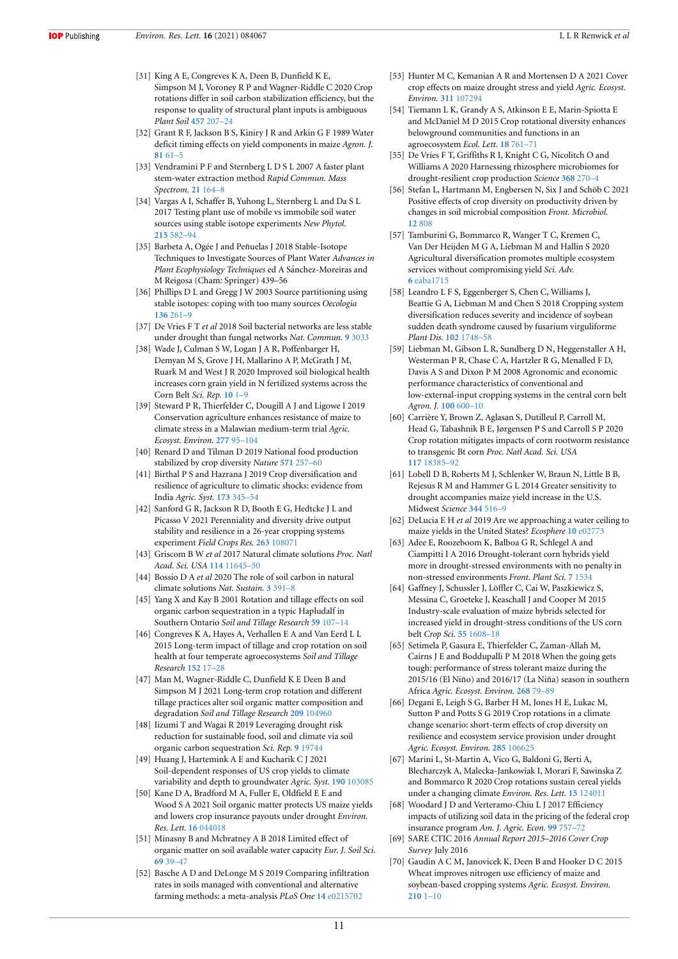- <span id="page-11-0"></span>[31] King A E, Congreves K A, Deen B, Dunfield K E, Simpson M J, Voroney R P and Wagner-Riddle C 2020 Crop rotations differ in soil carbon stabilization efficiency, but the response to quality of structural plant inputs is ambiguous *Plant Soil* **[457](https://doi.org/10.1007/s11104-020-04728-5)** [207–24](https://doi.org/10.1007/s11104-020-04728-5)
- <span id="page-11-1"></span>[32] Grant R F, Jackson B S, Kiniry J R and Arkin G F 1989 Water deficit timing effects on yield components in maize *Agron. J.* **[81](https://doi.org/10.2134/agronj1989.00021962008100010011x)** [61–5](https://doi.org/10.2134/agronj1989.00021962008100010011x)
- <span id="page-11-2"></span>[33] Vendramini P F and Sternberg L D S L 2007 A faster plant stem-water extraction method *Rapid Commun. Mass Spectrom.* **[21](https://doi.org/10.1002/rcm.2826)** [164–8](https://doi.org/10.1002/rcm.2826)
- <span id="page-11-3"></span>[34] Vargas A I, Schaffer B, Yuhong L, Sternberg L and Da S L 2017 Testing plant use of mobile vs immobile soil water sources using stable isotope experiments *New Phytol.* **[215](https://doi.org/10.1111/nph.14616)** [582–94](https://doi.org/10.1111/nph.14616)
- <span id="page-11-4"></span>[35] Barbeta A, Ogée J and Peñuelas J 2018 Stable-Isotope Techniques to Investigate Sources of Plant Water *Advances in* Plant Ecophysiology Techniques ed A Sánchez-Moreiras and M Reigosa (Cham: Springer) 439–56
- <span id="page-11-5"></span>[36] Phillips D L and Gregg J W 2003 Source partitioning using stable isotopes: coping with too many sources *Oecologia* **[136](https://doi.org/10.1007/s00442-003-1218-3)** [261–9](https://doi.org/10.1007/s00442-003-1218-3)
- <span id="page-11-6"></span>[37] De Vries F T *et al* 2018 Soil bacterial networks are less stable under drought than fungal networks *Nat. Commun.* **[9](https://doi.org/10.1038/s41467-018-05516-7)** [3033](https://doi.org/10.1038/s41467-018-05516-7)
- <span id="page-11-7"></span>[38] Wade J, Culman S W, Logan J A R, Poffenbarger H, Demyan M S, Grove J H, Mallarino A P, McGrath J M, Ruark M and West J R 2020 Improved soil biological health increases corn grain yield in N fertilized systems across the Corn Belt *Sci. Rep.* **[10](https://doi.org/10.1038/s41598-020-60987-3)** [1–9](https://doi.org/10.1038/s41598-020-60987-3)
- <span id="page-11-8"></span>[39] Steward P R, Thierfelder C, Dougill A J and Ligowe I 2019 Conservation agriculture enhances resistance of maize to climate stress in a Malawian medium-term trial *Agric. Ecosyst. Environ.* **[277](https://doi.org/10.1016/j.agee.2018.07.009)** [95–104](https://doi.org/10.1016/j.agee.2018.07.009)
- <span id="page-11-9"></span>[40] Renard D and Tilman D 2019 National food production stabilized by crop diversity *Nature* **[571](https://doi.org/10.1038/s41586-019-1316-y)** [257–60](https://doi.org/10.1038/s41586-019-1316-y)
- [41] Birthal P S and Hazrana J 2019 Crop diversification and resilience of agriculture to climatic shocks: evidence from India *Agric. Syst.* **[173](https://doi.org/10.1016/j.agsy.2019.03.005)** [345–54](https://doi.org/10.1016/j.agsy.2019.03.005)
- <span id="page-11-10"></span>[42] Sanford G R, Jackson R D, Booth E G, Hedtcke J L and Picasso V 2021 Perenniality and diversity drive output stability and resilience in a 26-year cropping systems experiment *Field Crops Res.* **[263](https://doi.org/10.1016/j.fcr.2021.108071)** [108071](https://doi.org/10.1016/j.fcr.2021.108071)
- <span id="page-11-11"></span>[43] Griscom B W *et al* 2017 Natural climate solutions *Proc. Natl Acad. Sci. USA* **[114](https://doi.org/10.1073/pnas.1710465114)** [11645–50](https://doi.org/10.1073/pnas.1710465114)
- <span id="page-11-12"></span>[44] Bossio D A *et al* 2020 The role of soil carbon in natural climate solutions *Nat. Sustain.* **[3](https://doi.org/10.1038/s41893-020-0491-z)** [391–8](https://doi.org/10.1038/s41893-020-0491-z)
- <span id="page-11-13"></span>[45] Yang X and Kay B 2001 Rotation and tillage effects on soil organic carbon sequestration in a typic Hapludalf in Southern Ontario *Soil and Tillage Research* **[59](https://doi.org/10.1016/S0167-1987(01)00162-3)** [107–14](https://doi.org/10.1016/S0167-1987(01)00162-3)
- [46] Congreves K A, Hayes A, Verhallen E A and Van Eerd L L 2015 Long-term impact of tillage and crop rotation on soil health at four temperate agroecosystems *Soil and Tillage Research* **[152](https://doi.org/10.1016/j.still.2015.03.012)** [17–28](https://doi.org/10.1016/j.still.2015.03.012)
- <span id="page-11-14"></span>[47] Man M, Wagner-Riddle C, Dunfield K E Deen B and Simpson M J 2021 Long-term crop rotation and different tillage practices alter soil organic matter composition and degradation *Soil and Tillage Research* **[209](https://doi.org/10.1016/J.STILL.2021.104960)** [104960](https://doi.org/10.1016/J.STILL.2021.104960)
- <span id="page-11-15"></span>[48] Iizumi T and Wagai R 2019 Leveraging drought risk reduction for sustainable food, soil and climate via soil organic carbon sequestration *Sci. Rep.* **[9](https://doi.org/10.1038/s41598-019-55835-y)** [19744](https://doi.org/10.1038/s41598-019-55835-y)
- <span id="page-11-16"></span>[49] Huang J, Hartemink A E and Kucharik C J 2021 Soil-dependent responses of US crop yields to climate variability and depth to groundwater *Agric. Syst.* **[190](https://doi.org/10.1016/j.agsy.2021.103085)** [103085](https://doi.org/10.1016/j.agsy.2021.103085)
- <span id="page-11-17"></span>[50] Kane D A, Bradford M A, Fuller E, Oldfield E E and Wood S A 2021 Soil organic matter protects US maize yields and lowers crop insurance payouts under drought *Environ. Res. Lett.* **[16](https://doi.org/10.1088/1748-9326/abe492)** [044018](https://doi.org/10.1088/1748-9326/abe492)
- <span id="page-11-18"></span>[51] Minasny B and Mcbratney A B 2018 Limited effect of organic matter on soil available water capacity *Eur. J. Soil Sci.* **[69](https://doi.org/10.1111/ejss.12475)** [39–47](https://doi.org/10.1111/ejss.12475)
- <span id="page-11-19"></span>[52] Basche A D and DeLonge M S 2019 Comparing infiltration rates in soils managed with conventional and alternative farming methods: a meta-analysis *PLoS One* **[14](https://doi.org/10.1371/journal.pone.0215702)** [e0215702](https://doi.org/10.1371/journal.pone.0215702)
- <span id="page-11-20"></span>[53] Hunter M C, Kemanian A R and Mortensen D A 2021 Cover crop effects on maize drought stress and yield *Agric. Ecosyst. Environ.* **[311](https://doi.org/10.1016/j.agee.2020.107294)** [107294](https://doi.org/10.1016/j.agee.2020.107294)
- <span id="page-11-21"></span>[54] Tiemann L K, Grandy A S, Atkinson E E, Marin-Spiotta E and McDaniel M D 2015 Crop rotational diversity enhances belowground communities and functions in an agroecosystem *Ecol. Lett.* **[18](https://doi.org/10.1111/ele.12453)** [761–71](https://doi.org/10.1111/ele.12453)
- <span id="page-11-22"></span>[55] De Vries F T, Griffiths R I, Knight C G, Nicolitch O and Williams A 2020 Harnessing rhizosphere microbiomes for drought-resilient crop production *Science* **[368](https://doi.org/10.1126/science.aaz5192)** [270–4](https://doi.org/10.1126/science.aaz5192)
- <span id="page-11-23"></span>[56] Stefan L, Hartmann M, Engbersen N, Six J and Schöb C 2021 Positive effects of crop diversity on productivity driven by changes in soil microbial composition *Front. Microbiol.* **[12](https://doi.org/10.3389/fmicb.2021.660749)** [808](https://doi.org/10.3389/fmicb.2021.660749)
- <span id="page-11-24"></span>[57] Tamburini G, Bommarco R, Wanger T C, Kremen C, Van Der Heijden M G A, Liebman M and Hallin S 2020 Agricultural diversification promotes multiple ecosystem services without compromising yield *Sci. Adv.* **[6](https://doi.org/10.1126/sciadv.aba1715)** [eaba1715](https://doi.org/10.1126/sciadv.aba1715)
- [58] Leandro L F S, Eggenberger S, Chen C, Williams J, Beattie G A, Liebman M and Chen S 2018 Cropping system diversification reduces severity and incidence of soybean sudden death syndrome caused by fusarium virguliforme *Plant Dis.* **[102](https://doi.org/10.1094/PDIS-11-16-1660-RE)** [1748–58](https://doi.org/10.1094/PDIS-11-16-1660-RE)
- <span id="page-11-35"></span>[59] Liebman M, Gibson L R, Sundberg D N, Heggenstaller A H, Westerman P R, Chase C A, Hartzler R G, Menalled F D, Davis A S and Dixon P M 2008 Agronomic and economic performance characteristics of conventional and low-external-input cropping systems in the central corn belt *Agron. J.* **[100](https://doi.org/10.2134/agronj2007.0222)** [600–10](https://doi.org/10.2134/agronj2007.0222)
- <span id="page-11-25"></span>[60] Carrière Y, Brown Z, Aglasan S, Dutilleul P, Carroll M, Head G, Tabashnik B E, Jørgensen P S and Carroll S P 2020 Crop rotation mitigates impacts of corn rootworm resistance to transgenic Bt corn *Proc. Natl Acad. Sci. USA* **[117](https://doi.org/10.1073/pnas.2003604117)** [18385–92](https://doi.org/10.1073/pnas.2003604117)
- <span id="page-11-26"></span>[61] Lobell D B, Roberts M J, Schlenker W, Braun N, Little B B, Rejesus R M and Hammer G L 2014 Greater sensitivity to drought accompanies maize yield increase in the U.S. Midwest *Science* **[344](https://doi.org/10.1126/science.1251423)** [516–9](https://doi.org/10.1126/science.1251423)
- <span id="page-11-27"></span>[62] DeLucia E H *et al* 2019 Are we approaching a water ceiling to maize yields in the United States? *Ecosphere* **[10](https://doi.org/10.1002/ecs2.2773)** [e02773](https://doi.org/10.1002/ecs2.2773)
- <span id="page-11-28"></span>[63] Adee E, Roozeboom K, Balboa G R, Schlegel A and Ciampitti I A 2016 Drought-tolerant corn hybrids yield more in drought-stressed environments with no penalty in non-stressed environments *Front. Plant Sci.* **[7](https://doi.org/10.3389/fpls.2016.01534)** [1534](https://doi.org/10.3389/fpls.2016.01534)
- <span id="page-11-29"></span>[64] Gaffney J, Schussler J, Löffler C, Cai W, Paszkiewicz S, Messina C, Groeteke J, Keaschall J and Cooper M 2015 Industry-scale evaluation of maize hybrids selected for increased yield in drought-stress conditions of the US corn belt *Crop Sci.* **[55](https://doi.org/10.2135/cropsci2014.09.0654)** [1608–18](https://doi.org/10.2135/cropsci2014.09.0654)
- <span id="page-11-30"></span>[65] Setimela P, Gasura E, Thierfelder C, Zaman-Allah M, Cairns J E and Boddupalli P M 2018 When the going gets tough: performance of stress tolerant maize during the 2015/16 (El Niño) and 2016/17 (La Niña) season in southern Africa *Agric. Ecosyst. Environ.* **[268](https://doi.org/10.1016/j.agee.2018.09.006)** [79–89](https://doi.org/10.1016/j.agee.2018.09.006)
- <span id="page-11-31"></span>[66] Degani E, Leigh S G, Barber H M, Jones H E, Lukac M, Sutton P and Potts S G 2019 Crop rotations in a climate change scenario: short-term effects of crop diversity on resilience and ecosystem service provision under drought *Agric. Ecosyst. Environ.* **[285](https://doi.org/10.1016/j.agee.2019.106625)** [106625](https://doi.org/10.1016/j.agee.2019.106625)
- <span id="page-11-32"></span>[67] Marini L, St-Martin A, Vico G, Baldoni G, Berti A, Blecharczyk A, Malecka-Jankowiak I, Morari F, Sawinska Z and Bommarco R 2020 Crop rotations sustain cereal yields under a changing climate *Environ. Res. Lett.* **[15](https://doi.org/10.1088/1748-9326/abc651)** [124011](https://doi.org/10.1088/1748-9326/abc651)
- <span id="page-11-33"></span>[68] Woodard J D and Verteramo-Chiu L J 2017 Efficiency impacts of utilizing soil data in the pricing of the federal crop insurance program *Am. J. Agric. Econ.* **[99](https://doi.org/10.1093/ajae/aaw099)** [757–72](https://doi.org/10.1093/ajae/aaw099)
- <span id="page-11-34"></span>[69] SARE CTIC 2016 *Annual Report 2015–2016 Cover Crop Survey* July 2016
- <span id="page-11-36"></span>[70] Gaudin A C M, Janovicek K, Deen B and Hooker D C 2015 Wheat improves nitrogen use efficiency of maize and soybean-based cropping systems *Agric. Ecosyst. Environ.* **[210](https://doi.org/10.1016/j.agee.2015.04.034)** [1–10](https://doi.org/10.1016/j.agee.2015.04.034)